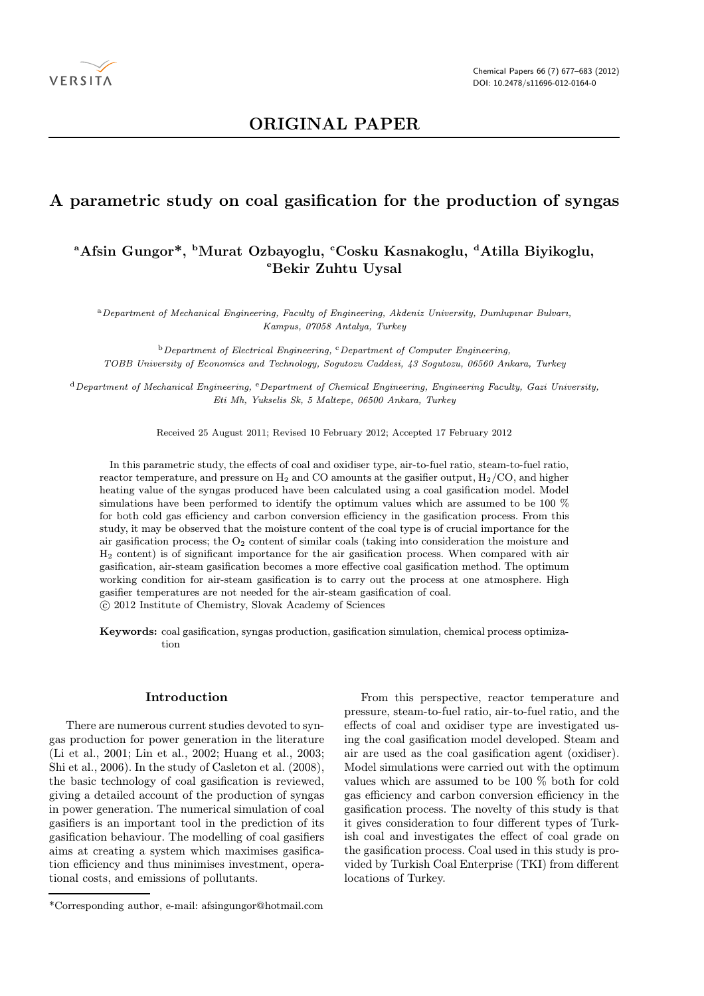

## ORIGINAL PAPER

### A parametric study on coal gasification for the production of syngas

# <sup>a</sup>Afsin Gungor\*, <sup>b</sup>Murat Ozbayoglu, <sup>c</sup>Cosku Kasnakoglu, <sup>d</sup>Atilla Biyikoglu, eBekir Zuhtu Uysal

<sup>a</sup>Department of Mechanical Engineering, Faculty of Engineering, Akdeniz University, Dumlupınar Bulvarı, Kampus, 07058 Antalya, Turkey

 $b$  Department of Electrical Engineering,  $c$ Department of Computer Engineering, TOBB University of Economics and Technology, Sogutozu Caddesi, 43 Sogutozu, 06560 Ankara, Turkey

<sup>d</sup>Department of Mechanical Engineering, <sup>e</sup>Department of Chemical Engineering, Engineering Faculty, Gazi University, Eti Mh, Yukselis Sk, 5 Maltepe, 06500 Ankara, Turkey

Received 25 August 2011; Revised 10 February 2012; Accepted 17 February 2012

In this parametric study, the effects of coal and oxidiser type, air-to-fuel ratio, steam-to-fuel ratio, reactor temperature, and pressure on  $H_2$  and CO amounts at the gasifier output,  $H_2/CO$ , and higher heating value of the syngas produced have been calculated using a coal gasification model. Model simulations have been performed to identify the optimum values which are assumed to be 100 % for both cold gas efficiency and carbon conversion efficiency in the gasification process. From this study, it may be observed that the moisture content of the coal type is of crucial importance for the air gasification process; the  $O_2$  content of similar coals (taking into consideration the moisture and H<sup>2</sup> content) is of significant importance for the air gasification process. When compared with air gasification, air-steam gasification becomes a more effective coal gasification method. The optimum working condition for air-steam gasification is to carry out the process at one atmosphere. High gasifier temperatures are not needed for the air-steam gasification of coal.

c 2012 Institute of Chemistry, Slovak Academy of Sciences

Keywords: coal gasification, syngas production, gasification simulation, chemical process optimization

#### Introduction

There are numerous current studies devoted to syngas production for power generation in the literature (Li et al., 2001; Lin et al., 2002; Huang et al., 2003; Shi et al., 2006). In the study of Casleton et al. (2008), the basic technology of coal gasification is reviewed, giving a detailed account of the production of syngas in power generation. The numerical simulation of coal gasifiers is an important tool in the prediction of its gasification behaviour. The modelling of coal gasifiers aims at creating a system which maximises gasification efficiency and thus minimises investment, operational costs, and emissions of pollutants.

From this perspective, reactor temperature and pressure, steam-to-fuel ratio, air-to-fuel ratio, and the effects of coal and oxidiser type are investigated using the coal gasification model developed. Steam and air are used as the coal gasification agent (oxidiser). Model simulations were carried out with the optimum values which are assumed to be 100 % both for cold gas efficiency and carbon conversion efficiency in the gasification process. The novelty of this study is that it gives consideration to four different types of Turkish coal and investigates the effect of coal grade on the gasification process. Coal used in this study is provided by Turkish Coal Enterprise (TKI) from different locations of Turkey.

<sup>\*</sup>Corresponding author, e-mail: afsingungor@hotmail.com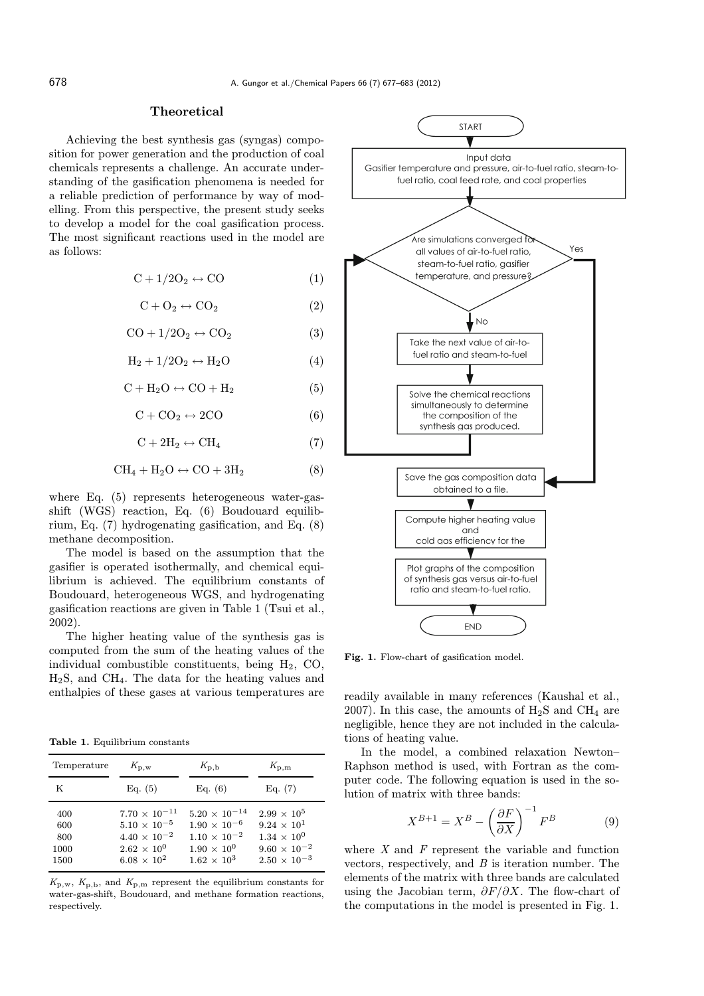#### Theoretical

Achieving the best synthesis gas (syngas) composition for power generation and the production of coal chemicals represents a challenge. An accurate understanding of the gasification phenomena is needed for a reliable prediction of performance by way of modelling. From this perspective, the present study seeks to develop a model for the coal gasification process. The most significant reactions used in the model are as follows:

$$
C + 1/2O_2 \leftrightarrow CO \tag{1}
$$

$$
C + O_2 \leftrightarrow CO_2 \tag{2}
$$

$$
CO + 1/2O_2 \leftrightarrow CO_2 \tag{3}
$$

$$
H_2 + 1/2O_2 \leftrightarrow H_2O \tag{4}
$$

$$
C + H_2O \leftrightarrow CO + H_2 \tag{5}
$$

 $C + CO<sub>2</sub> \leftrightarrow 2CO$  (6)

 $C + 2H_2 \leftrightarrow CH_4$  (7)

$$
CH_4 + H_2O \leftrightarrow CO + 3H_2 \tag{8}
$$

where Eq. (5) represents heterogeneous water-gasshift (WGS) reaction, Eq. (6) Boudouard equilibrium, Eq. (7) hydrogenating gasification, and Eq. (8) methane decomposition.

The model is based on the assumption that the gasifier is operated isothermally, and chemical equilibrium is achieved. The equilibrium constants of Boudouard, heterogeneous WGS, and hydrogenating gasification reactions are given in Table 1 (Tsui et al., 2002).

The higher heating value of the synthesis gas is computed from the sum of the heating values of the individual combustible constituents, being  $H_2$ , CO, H2S, and CH4. The data for the heating values and enthalpies of these gases at various temperatures are

Table 1. Equilibrium constants

| Temperature                       | $K_{\rm{D,W}}$                                                                                                           | $K_{\rm p,b}$                                                                                                          | $K_{\rm p,m}$                                                                                                        |
|-----------------------------------|--------------------------------------------------------------------------------------------------------------------------|------------------------------------------------------------------------------------------------------------------------|----------------------------------------------------------------------------------------------------------------------|
| K                                 | Eq. (5)                                                                                                                  | Eq. (6)                                                                                                                | Eq. (7)                                                                                                              |
| 400<br>600<br>800<br>1000<br>1500 | $7.70 \times 10^{-11}$<br>$5.10 \times 10^{-5}$<br>$4.40 \times 10^{-2}$<br>$2.62 \times 10^{0}$<br>$6.08 \times 10^{2}$ | $5.20 \times 10^{-14}$<br>$1.90 \times 10^{-6}$<br>$1.10 \times 10^{-2}$<br>$1.90 \times 10^{0}$<br>$1.62 \times 10^3$ | $2.99 \times 10^5$<br>$9.24 \times 10^{1}$<br>$1.34 \times 10^{0}$<br>$9.60 \times 10^{-2}$<br>$2.50 \times 10^{-3}$ |

 $K_{p,w}$ ,  $K_{p,b}$ , and  $K_{p,m}$  represent the equilibrium constants for water-gas-shift, Boudouard, and methane formation reactions, respectively.



Fig. 1. Flow-chart of gasification model.

readily available in many references (Kaushal et al., 2007). In this case, the amounts of  $H_2S$  and  $CH_4$  are negligible, hence they are not included in the calculations of heating value.

In the model, a combined relaxation Newton– Raphson method is used, with Fortran as the computer code. The following equation is used in the solution of matrix with three bands:

$$
X^{B+1} = X^B - \left(\frac{\partial F}{\partial X}\right)^{-1} F^B \tag{9}
$$

where  $X$  and  $F$  represent the variable and function vectors, respectively, and  $B$  is iteration number. The elements of the matrix with three bands are calculated using the Jacobian term,  $\partial F/\partial X$ . The flow-chart of the computations in the model is presented in Fig. 1.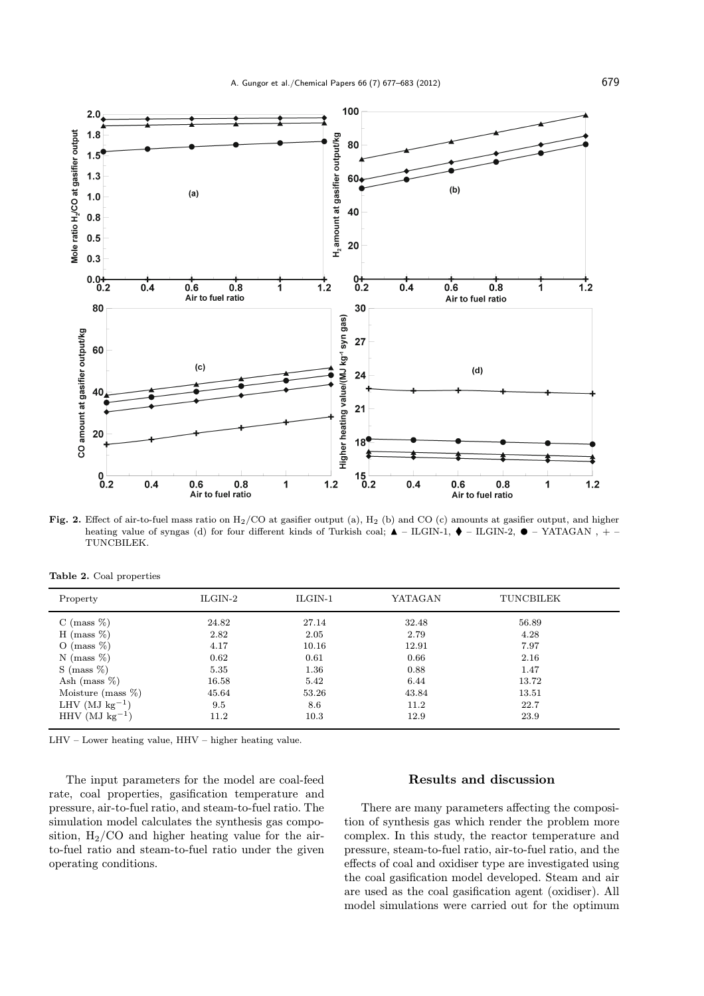

Fig. 2. Effect of air-to-fuel mass ratio on  $H_2/CO$  at gasifier output (a),  $H_2$  (b) and CO (c) amounts at gasifier output, and higher heating value of syngas (d) for four different kinds of Turkish coal; ▲ – ILGIN-1, ♦ – ILGIN-2, ● – YATAGAN , + –<br>TUNCBILEK TUNCBILEK.

|  | Table 2. Coal properties |
|--|--------------------------|
|  |                          |

| Property              | ILGIN-2 | $ILGIN-1$ | YATAGAN | TUNCBILEK |  |
|-----------------------|---------|-----------|---------|-----------|--|
| C (mass $%$ )         | 24.82   | 27.14     | 32.48   | 56.89     |  |
| H (mass $\%$ )        | 2.82    | 2.05      | 2.79    | 4.28      |  |
| O (mass $\%$ )        | 4.17    | 10.16     | 12.91   | 7.97      |  |
| N (mass $\%$ )        | 0.62    | 0.61      | 0.66    | 2.16      |  |
| $S$ (mass $\%$ )      | 5.35    | 1.36      | 0.88    | 1.47      |  |
| Ash (mass $\%$ )      | 16.58   | 5.42      | 6.44    | 13.72     |  |
| Moisture (mass $\%$ ) | 45.64   | 53.26     | 43.84   | 13.51     |  |
| LHV (MJ $kg^{-1}$ )   | 9.5     | 8.6       | 11.2    | 22.7      |  |
| HHV (MJ $kg^{-1}$ )   | 11.2    | 10.3      | 12.9    | 23.9      |  |
|                       |         |           |         |           |  |

LHV – Lower heating value, HHV – higher heating value.

The input parameters for the model are coal-feed rate, coal properties, gasification temperature and pressure, air-to-fuel ratio, and steam-to-fuel ratio. The simulation model calculates the synthesis gas composition,  $H_2/CO$  and higher heating value for the airto-fuel ratio and steam-to-fuel ratio under the given operating conditions.

#### Results and discussion

There are many parameters affecting the composition of synthesis gas which render the problem more complex. In this study, the reactor temperature and pressure, steam-to-fuel ratio, air-to-fuel ratio, and the effects of coal and oxidiser type are investigated using the coal gasification model developed. Steam and air are used as the coal gasification agent (oxidiser). All model simulations were carried out for the optimum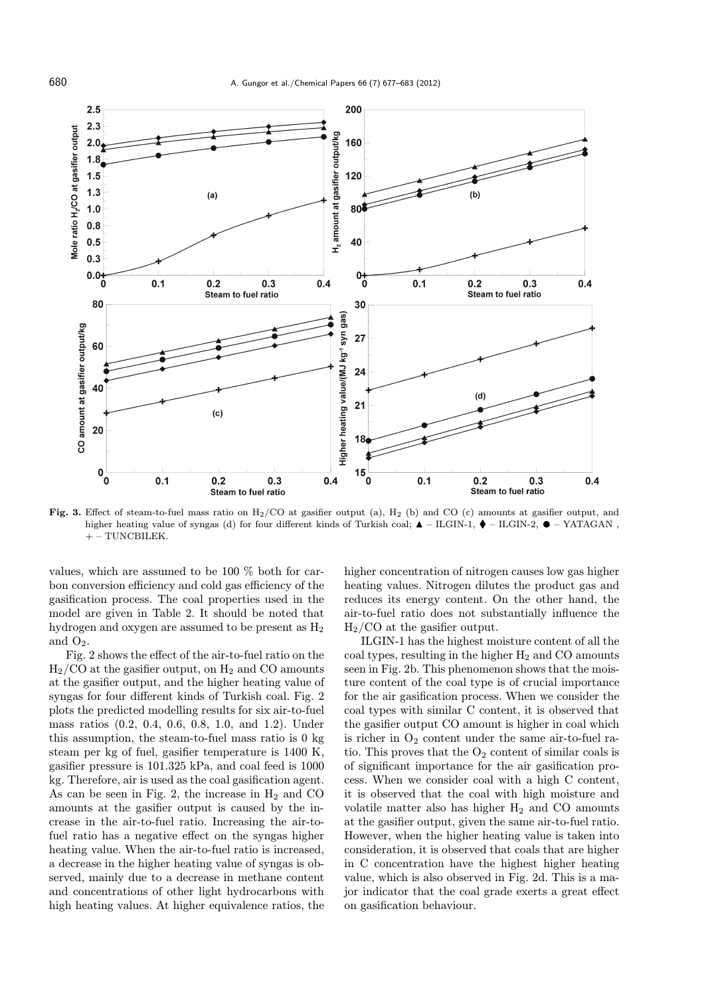

Fig. 3. Effect of steam-to-fuel mass ratio on  $H_2/CO$  at gasifier output (a),  $H_2$  (b) and CO (c) amounts at gasifier output, and higher heating value of syngas (d) for four different kinds of Turkish coal; ▲ – ILGIN-1, ♦ – ILGIN-2, ● – YATAGAN ,<br>+ – TUNCBILEK  $+-$  TUNCBILEK.

values, which are assumed to be 100 % both for carbon conversion efficiency and cold gas efficiency of the gasification process. The coal properties used in the model are given in Table 2. It should be noted that hydrogen and oxygen are assumed to be present as  $H_2$ and  $O_2$ .

Fig. 2 shows the effect of the air-to-fuel ratio on the  $H<sub>2</sub>/CO$  at the gasifier output, on  $H<sub>2</sub>$  and CO amounts at the gasifier output, and the higher heating value of syngas for four different kinds of Turkish coal. Fig. 2 plots the predicted modelling results for six air-to-fuel mass ratios (0.2, 0.4, 0.6, 0.8, 1.0, and 1.2). Under this assumption, the steam-to-fuel mass ratio is 0 kg steam per kg of fuel, gasifier temperature is 1400 K, gasifier pressure is 101.325 kPa, and coal feed is 1000 kg. Therefore, air is used as the coal gasification agent. As can be seen in Fig. 2, the increase in  $H_2$  and CO amounts at the gasifier output is caused by the increase in the air-to-fuel ratio. Increasing the air-tofuel ratio has a negative effect on the syngas higher heating value. When the air-to-fuel ratio is increased, a decrease in the higher heating value of syngas is observed, mainly due to a decrease in methane content and concentrations of other light hydrocarbons with high heating values. At higher equivalence ratios, the

higher concentration of nitrogen causes low gas higher heating values. Nitrogen dilutes the product gas and reduces its energy content. On the other hand, the air-to-fuel ratio does not substantially influence the H2/CO at the gasifier output.

ILGIN-1 has the highest moisture content of all the coal types, resulting in the higher  $H_2$  and CO amounts seen in Fig. 2b. This phenomenon shows that the moisture content of the coal type is of crucial importance for the air gasification process. When we consider the coal types with similar C content, it is observed that the gasifier output CO amount is higher in coal which is richer in  $O_2$  content under the same air-to-fuel ratio. This proves that the  $O_2$  content of similar coals is of significant importance for the air gasification process. When we consider coal with a high C content, it is observed that the coal with high moisture and volatile matter also has higher  $H_2$  and CO amounts at the gasifier output, given the same air-to-fuel ratio. However, when the higher heating value is taken into consideration, it is observed that coals that are higher in C concentration have the highest higher heating value, which is also observed in Fig. 2d. This is a major indicator that the coal grade exerts a great effect on gasification behaviour.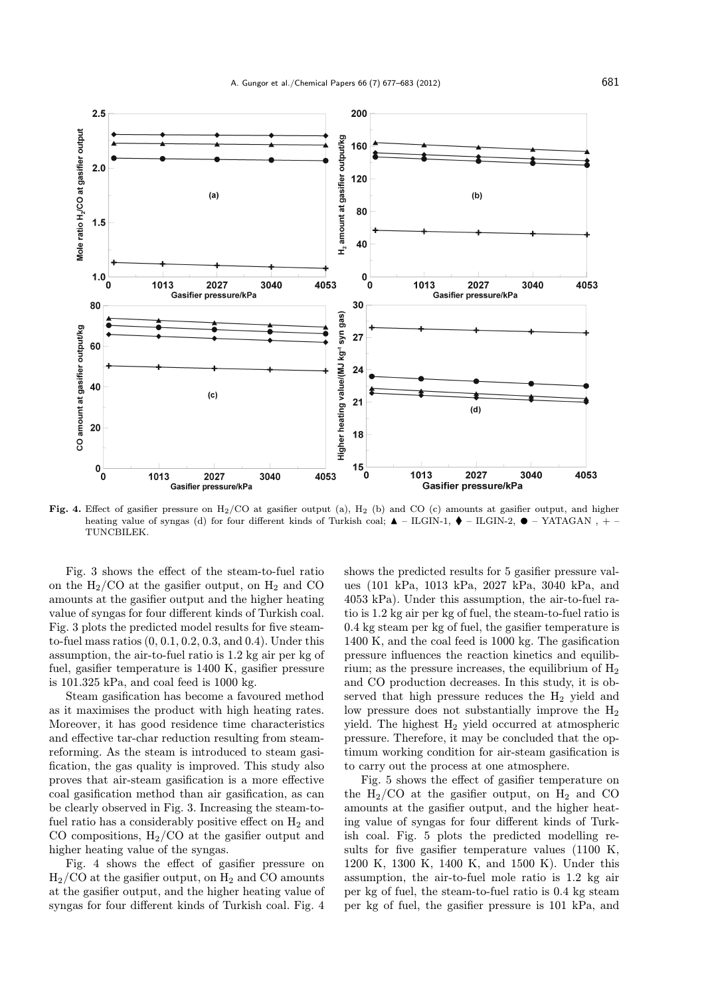

Fig. 4. Effect of gasifier pressure on  $H_2/CO$  at gasifier output (a),  $H_2$  (b) and CO (c) amounts at gasifier output, and higher heating value of syngas (d) for four different kinds of Turkish coal; ▲ – ILGIN-1, ♦ – ILGIN-2, ● – YATAGAN , + –<br>TUNCBILEK TUNCBILEK.

Fig. 3 shows the effect of the steam-to-fuel ratio on the  $H_2/CO$  at the gasifier output, on  $H_2$  and CO amounts at the gasifier output and the higher heating value of syngas for four different kinds of Turkish coal. Fig. 3 plots the predicted model results for five steamto-fuel mass ratios (0, 0.1, 0.2, 0.3, and 0.4). Under this assumption, the air-to-fuel ratio is 1.2 kg air per kg of fuel, gasifier temperature is 1400 K, gasifier pressure is 101.325 kPa, and coal feed is 1000 kg.

Steam gasification has become a favoured method as it maximises the product with high heating rates. Moreover, it has good residence time characteristics and effective tar-char reduction resulting from steamreforming. As the steam is introduced to steam gasification, the gas quality is improved. This study also proves that air-steam gasification is a more effective coal gasification method than air gasification, as can be clearly observed in Fig. 3. Increasing the steam-tofuel ratio has a considerably positive effect on  $H_2$  and CO compositions,  $H_2/CO$  at the gasifier output and higher heating value of the syngas.

Fig. 4 shows the effect of gasifier pressure on  $H<sub>2</sub>/CO$  at the gasifier output, on  $H<sub>2</sub>$  and CO amounts at the gasifier output, and the higher heating value of syngas for four different kinds of Turkish coal. Fig. 4

shows the predicted results for 5 gasifier pressure values (101 kPa, 1013 kPa, 2027 kPa, 3040 kPa, and 4053 kPa). Under this assumption, the air-to-fuel ratio is 1.2 kg air per kg of fuel, the steam-to-fuel ratio is 0.4 kg steam per kg of fuel, the gasifier temperature is 1400 K, and the coal feed is 1000 kg. The gasification pressure influences the reaction kinetics and equilibrium; as the pressure increases, the equilibrium of  $H_2$ and CO production decreases. In this study, it is observed that high pressure reduces the  $H_2$  yield and low pressure does not substantially improve the  $H_2$ yield. The highest  $H_2$  yield occurred at atmospheric pressure. Therefore, it may be concluded that the optimum working condition for air-steam gasification is to carry out the process at one atmosphere.

Fig. 5 shows the effect of gasifier temperature on the  $H_2/CO$  at the gasifier output, on  $H_2$  and CO amounts at the gasifier output, and the higher heating value of syngas for four different kinds of Turkish coal. Fig. 5 plots the predicted modelling results for five gasifier temperature values (1100 K, 1200 K, 1300 K, 1400 K, and 1500 K). Under this assumption, the air-to-fuel mole ratio is 1.2 kg air per kg of fuel, the steam-to-fuel ratio is 0.4 kg steam per kg of fuel, the gasifier pressure is 101 kPa, and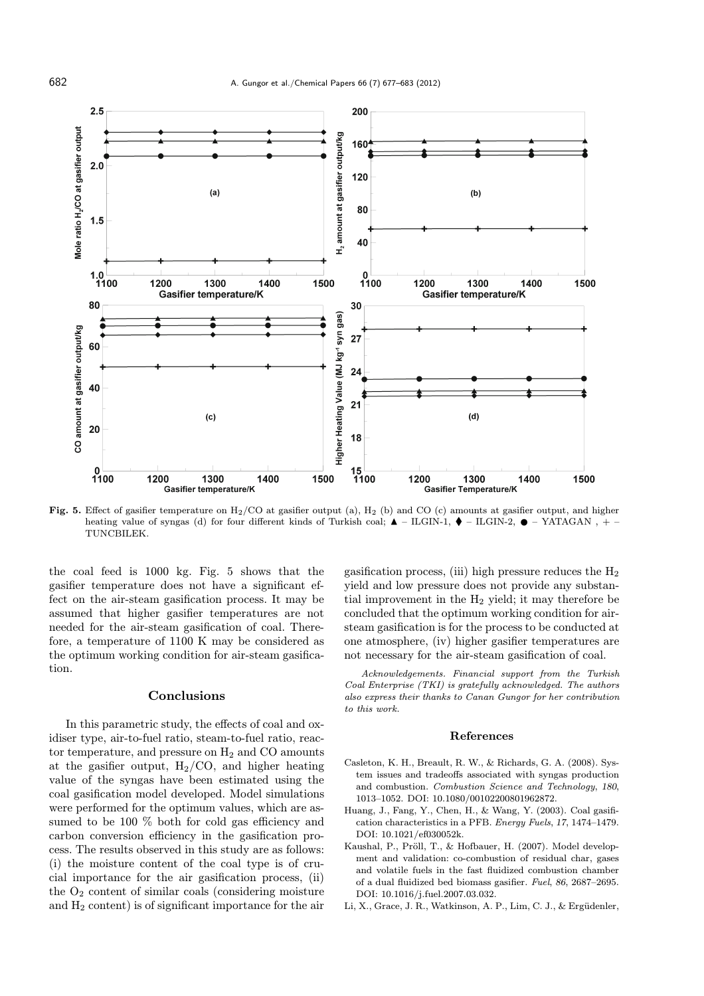

Fig. 5. Effect of gasifier temperature on  $H_2/CO$  at gasifier output (a),  $H_2$  (b) and CO (c) amounts at gasifier output, and higher heating value of syngas (d) for four different kinds of Turkish coal; ▲ – ILGIN-1, ♦ – ILGIN-2, ● – YATAGAN , + –<br>TUNCRILEK TUNCBILEK.

the coal feed is 1000 kg. Fig. 5 shows that the gasifier temperature does not have a significant effect on the air-steam gasification process. It may be assumed that higher gasifier temperatures are not needed for the air-steam gasification of coal. Therefore, a temperature of 1100 K may be considered as the optimum working condition for air-steam gasification.

#### Conclusions

In this parametric study, the effects of coal and oxidiser type, air-to-fuel ratio, steam-to-fuel ratio, reactor temperature, and pressure on  $H_2$  and CO amounts at the gasifier output,  $H_2/CO$ , and higher heating value of the syngas have been estimated using the coal gasification model developed. Model simulations were performed for the optimum values, which are assumed to be 100 % both for cold gas efficiency and carbon conversion efficiency in the gasification process. The results observed in this study are as follows: (i) the moisture content of the coal type is of crucial importance for the air gasification process, (ii) the  $O_2$  content of similar coals (considering moisture and  $H_2$  content) is of significant importance for the air

gasification process, (iii) high pressure reduces the  $H_2$ yield and low pressure does not provide any substantial improvement in the H<sup>2</sup> yield; it may therefore be concluded that the optimum working condition for airsteam gasification is for the process to be conducted at one atmosphere, (iv) higher gasifier temperatures are not necessary for the air-steam gasification of coal.

Acknowledgements. Financial support from the Turkish Coal Enterprise (TKI) is gratefully acknowledged. The authors also express their thanks to Canan Gungor for her contribution to this work.

#### References

- Casleton, K. H., Breault, R. W., & Richards, G. A. (2008). System issues and tradeoffs associated with syngas production and combustion. Combustion Science and Technology, 180, 1013–1052. DOI: 10.1080/00102200801962872.
- Huang, J., Fang, Y., Chen, H., & Wang, Y. (2003). Coal gasification characteristics in a PFB. Energy Fuels, 17, 1474–1479. DOI: 10.1021/ef030052k.
- Kaushal, P., Pröll, T., & Hofbauer, H. (2007). Model development and validation: co-combustion of residual char, gases and volatile fuels in the fast fluidized combustion chamber of a dual fluidized bed biomass gasifier. Fuel, 86, 2687–2695. DOI: 10.1016/j.fuel.2007.03.032.
- Li, X., Grace, J. R., Watkinson, A. P., Lim, C. J., & Ergüdenler,